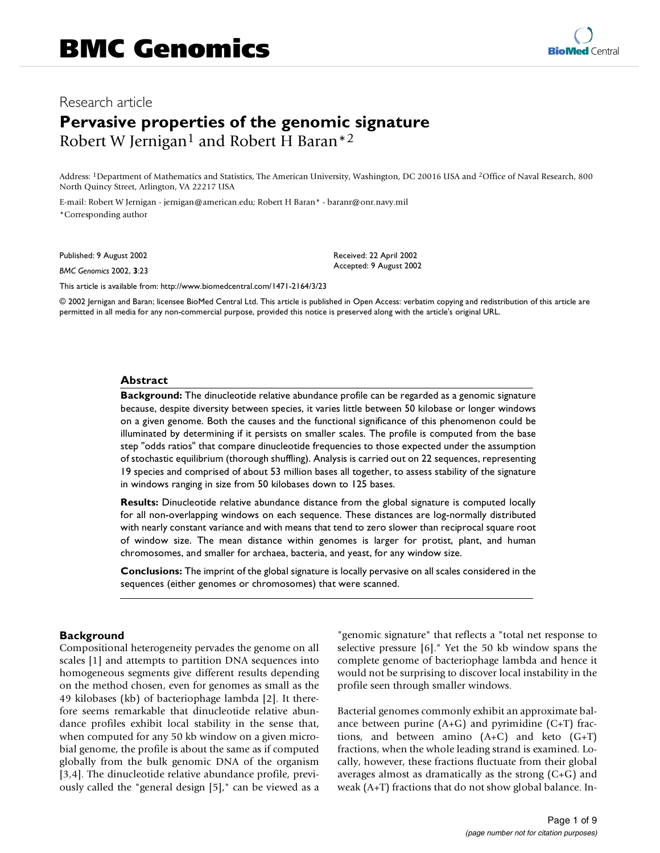# Research article **Pervasive properties of the genomic signature** Robert W Jernigan<sup>1</sup> and Robert H Baran<sup>\*2</sup>

Address: 1Department of Mathematics and Statistics, The American University, Washington, DC 20016 USA and 2Office of Naval Research, 800 North Quincy Street, Arlington, VA 22217 USA

E-mail: Robert W Jernigan - jernigan@american.edu; Robert H Baran\* - baranr@onr.navy.mil \*Corresponding author

Published: 9 August 2002

*BMC Genomics* 2002, **3**:23

Received: 22 April 2002 Accepted: 9 August 2002

[This article is available from: http://www.biomedcentral.com/1471-2164/3/23](http://www.biomedcentral.com/1471-2164/3/23)

© 2002 Jernigan and Baran; licensee BioMed Central Ltd. This article is published in Open Access: verbatim copying and redistribution of this article are permitted in all media for any non-commercial purpose, provided this notice is preserved along with the article's original URL.

#### **Abstract**

**Background:** The dinucleotide relative abundance profile can be regarded as a genomic signature because, despite diversity between species, it varies little between 50 kilobase or longer windows on a given genome. Both the causes and the functional significance of this phenomenon could be illuminated by determining if it persists on smaller scales. The profile is computed from the base step "odds ratios" that compare dinucleotide frequencies to those expected under the assumption of stochastic equilibrium (thorough shuffling). Analysis is carried out on 22 sequences, representing 19 species and comprised of about 53 million bases all together, to assess stability of the signature in windows ranging in size from 50 kilobases down to 125 bases.

**Results:** Dinucleotide relative abundance distance from the global signature is computed locally for all non-overlapping windows on each sequence. These distances are log-normally distributed with nearly constant variance and with means that tend to zero slower than reciprocal square root of window size. The mean distance within genomes is larger for protist, plant, and human chromosomes, and smaller for archaea, bacteria, and yeast, for any window size.

**Conclusions:** The imprint of the global signature is locally pervasive on all scales considered in the sequences (either genomes or chromosomes) that were scanned.

#### **Background**

Compositional heterogeneity pervades the genome on all scales [1] and attempts to partition DNA sequences into homogeneous segments give different results depending on the method chosen, even for genomes as small as the 49 kilobases (kb) of bacteriophage lambda [2]. It therefore seems remarkable that dinucleotide relative abundance profiles exhibit local stability in the sense that, when computed for any 50 kb window on a given microbial genome, the profile is about the same as if computed globally from the bulk genomic DNA of the organism [3,4]. The dinucleotide relative abundance profile, previously called the "general design [5]," can be viewed as a "genomic signature" that reflects a "total net response to selective pressure [6]." Yet the 50 kb window spans the complete genome of bacteriophage lambda and hence it would not be surprising to discover local instability in the profile seen through smaller windows.

Bacterial genomes commonly exhibit an approximate balance between purine  $(A+G)$  and pyrimidine  $(C+T)$  fractions, and between amino  $(A+C)$  and keto  $(G+T)$ fractions, when the whole leading strand is examined. Locally, however, these fractions fluctuate from their global averages almost as dramatically as the strong (C+G) and weak (A+T) fractions that do not show global balance. In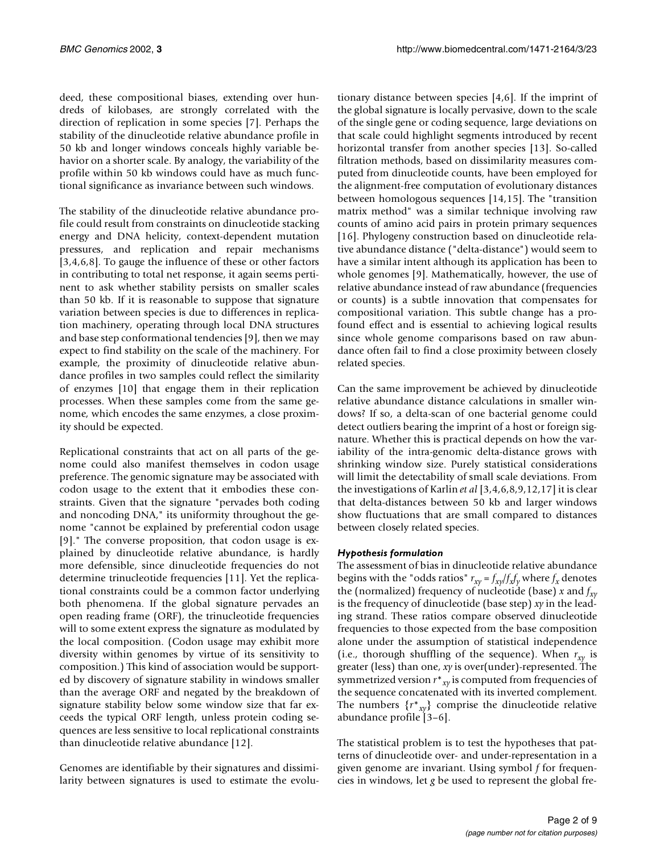deed, these compositional biases, extending over hundreds of kilobases, are strongly correlated with the direction of replication in some species [7]. Perhaps the stability of the dinucleotide relative abundance profile in 50 kb and longer windows conceals highly variable behavior on a shorter scale. By analogy, the variability of the profile within 50 kb windows could have as much functional significance as invariance between such windows.

The stability of the dinucleotide relative abundance profile could result from constraints on dinucleotide stacking energy and DNA helicity, context-dependent mutation pressures, and replication and repair mechanisms [3,4,6,8]. To gauge the influence of these or other factors in contributing to total net response, it again seems pertinent to ask whether stability persists on smaller scales than 50 kb. If it is reasonable to suppose that signature variation between species is due to differences in replication machinery, operating through local DNA structures and base step conformational tendencies [9], then we may expect to find stability on the scale of the machinery. For example, the proximity of dinucleotide relative abundance profiles in two samples could reflect the similarity of enzymes [10] that engage them in their replication processes. When these samples come from the same genome, which encodes the same enzymes, a close proximity should be expected.

Replicational constraints that act on all parts of the genome could also manifest themselves in codon usage preference. The genomic signature may be associated with codon usage to the extent that it embodies these constraints. Given that the signature "pervades both coding and noncoding DNA," its uniformity throughout the genome "cannot be explained by preferential codon usage [9]." The converse proposition, that codon usage is explained by dinucleotide relative abundance, is hardly more defensible, since dinucleotide frequencies do not determine trinucleotide frequencies [11]. Yet the replicational constraints could be a common factor underlying both phenomena. If the global signature pervades an open reading frame (ORF), the trinucleotide frequencies will to some extent express the signature as modulated by the local composition. (Codon usage may exhibit more diversity within genomes by virtue of its sensitivity to composition.) This kind of association would be supported by discovery of signature stability in windows smaller than the average ORF and negated by the breakdown of signature stability below some window size that far exceeds the typical ORF length, unless protein coding sequences are less sensitive to local replicational constraints than dinucleotide relative abundance [12].

Genomes are identifiable by their signatures and dissimilarity between signatures is used to estimate the evolu-

tionary distance between species [4,6]. If the imprint of the global signature is locally pervasive, down to the scale of the single gene or coding sequence, large deviations on that scale could highlight segments introduced by recent horizontal transfer from another species [13]. So-called filtration methods, based on dissimilarity measures computed from dinucleotide counts, have been employed for the alignment-free computation of evolutionary distances between homologous sequences [14,15]. The "transition matrix method" was a similar technique involving raw counts of amino acid pairs in protein primary sequences [16]. Phylogeny construction based on dinucleotide relative abundance distance ("delta-distance") would seem to have a similar intent although its application has been to whole genomes [9]. Mathematically, however, the use of relative abundance instead of raw abundance (frequencies or counts) is a subtle innovation that compensates for compositional variation. This subtle change has a profound effect and is essential to achieving logical results since whole genome comparisons based on raw abundance often fail to find a close proximity between closely related species.

Can the same improvement be achieved by dinucleotide relative abundance distance calculations in smaller windows? If so, a delta-scan of one bacterial genome could detect outliers bearing the imprint of a host or foreign signature. Whether this is practical depends on how the variability of the intra-genomic delta-distance grows with shrinking window size. Purely statistical considerations will limit the detectability of small scale deviations. From the investigations of Karlin *et al* [3,4,6,8,9,12,17] it is clear that delta-distances between 50 kb and larger windows show fluctuations that are small compared to distances between closely related species.

# *Hypothesis formulation*

The assessment of bias in dinucleotide relative abundance begins with the "odds ratios"  $r_{xy} = f_{xy}/f_x f_y$  where  $f_x$  denotes the (normalized) frequency of nucleotide (base)  $x$  and  $f_{xy}$ is the frequency of dinucleotide (base step) *xy* in the leading strand. These ratios compare observed dinucleotide frequencies to those expected from the base composition alone under the assumption of statistical independence (i.e., thorough shuffling of the sequence). When  $r_{xy}$  is greater (less) than one, *xy* is over(under)-represented. The symmetrized version *r*\**xy* is computed from frequencies of the sequence concatenated with its inverted complement. The numbers  $\{r^*_{xy}\}$  comprise the dinucleotide relative abundance profile [3–6].

The statistical problem is to test the hypotheses that patterns of dinucleotide over- and under-representation in a given genome are invariant. Using symbol *f* for frequencies in windows, let *g* be used to represent the global fre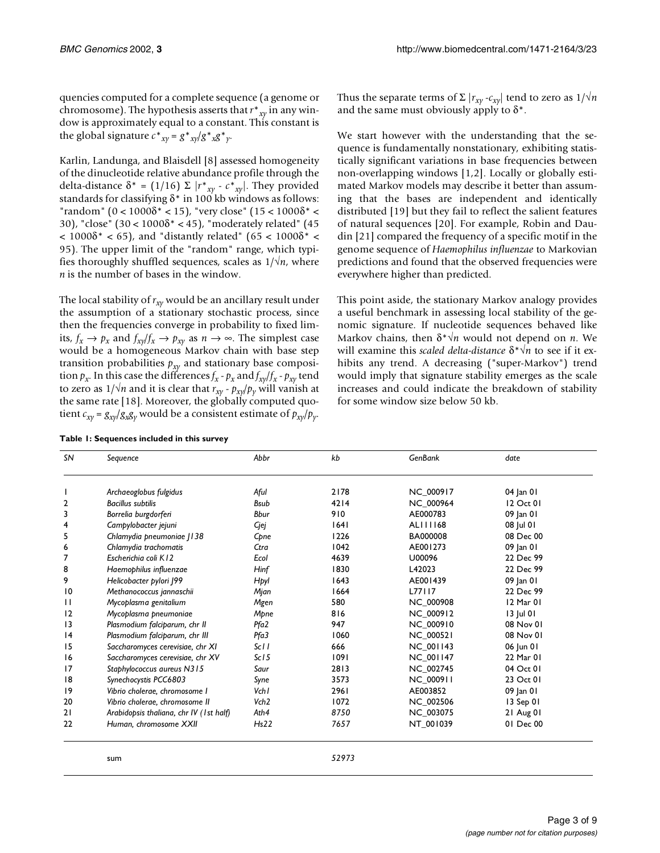quencies computed for a complete sequence (a genome or chromosome). The hypothesis asserts that *r*\**xy* in any window is approximately equal to a constant. This constant is the global signature  $c^*_{xy} = g^*_{xy}/g^*_{x}g^*_{y}$ .

Karlin, Landunga, and Blaisdell [8] assessed homogeneity of the dinucleotide relative abundance profile through the delta-distance δ<sup>\*</sup> = (1/16) Σ  $|r^*_{xy} - c^*_{xy}|$ . They provided standards for classifying  $\delta^*$  in 100 kb windows as follows: "random" (0 <  $1000\delta^*$  < 15), "very close" (15 <  $1000\delta^*$  < 30), "close"  $(30 < 1000\delta^* < 45)$ , "moderately related"  $(45)$  $1000δ* < 65$ ), and "distantly related" (65 < 1000δ\* < 95). The upper limit of the "random" range, which typifies thoroughly shuffled sequences, scales as  $1/\sqrt{n}$ , where *n* is the number of bases in the window.

The local stability of  $r_{xy}$  would be an ancillary result under the assumption of a stationary stochastic process, since then the frequencies converge in probability to fixed limits,  $f_x \rightarrow p_x$  and  $f_{xy}/f_x \rightarrow p_{xy}$  as  $n \rightarrow \infty$ . The simplest case would be a homogeneous Markov chain with base step transition probabilities  $p_{xy}$  and stationary base composition  $p_x$ . In this case the differences  $f_x - p_x$  and  $f_{xy}/f_x - p_{xy}$  tend to zero as  $1/\sqrt{n}$  and it is clear that  $r_{xy}$  -  $p_{xy}/p_y$  will vanish at the same rate [18]. Moreover, the globally computed quotient  $c_{xy} = g_{xy}/g_x g_y$  would be a consistent estimate of  $p_{xy}/p_y$ .

|  |  | Table 1: Sequences included in this survey |  |  |  |  |
|--|--|--------------------------------------------|--|--|--|--|
|--|--|--------------------------------------------|--|--|--|--|

Thus the separate terms of  $\Sigma |r_{xy} - c_{xy}|$  tend to zero as  $1/\sqrt{n}$ and the same must obviously apply to  $\delta^*$ .

We start however with the understanding that the sequence is fundamentally nonstationary, exhibiting statistically significant variations in base frequencies between non-overlapping windows [1,2]. Locally or globally estimated Markov models may describe it better than assuming that the bases are independent and identically distributed [19] but they fail to reflect the salient features of natural sequences [20]. For example, Robin and Daudin [21] compared the frequency of a specific motif in the genome sequence of *Haemophilus influenzae* to Markovian predictions and found that the observed frequencies were everywhere higher than predicted.

<span id="page-2-0"></span>This point aside, the stationary Markov analogy provides a useful benchmark in assessing local stability of the genomic signature. If nucleotide sequences behaved like Markov chains, then δ\*√*n* would not depend on *n*. We will examine this *scaled delta-distance* δ\*√*n* to see if it exhibits any trend. A decreasing ("super-Markov") trend would imply that signature stability emerges as the scale increases and could indicate the breakdown of stability for some window size below 50 kb.

| SN             | Sequence                                | Abbr             | kb    | <b>GenBank</b>   | date      |
|----------------|-----------------------------------------|------------------|-------|------------------|-----------|
|                | Archaeoglobus fulgidus                  | Aful             | 2178  | NC_000917        | 04 Jan 01 |
| $\overline{2}$ | <b>Bacillus subtilis</b>                | <b>B</b> sub     | 4214  | <b>NC 000964</b> | 12 Oct 01 |
| 3              | Borrelia burgdorferi                    | <b>Bbur</b>      | 910   | AE000783         | 09 Jan 01 |
| 4              | Campylobacter jejuni                    | Cjej             | 1641  | ALI1168          | 08 Jul 01 |
| 5              | Chlamydia pneumoniae   138              | Cpne             | 1226  | BA000008         | 08 Dec 00 |
| 6              | Chlamydia trachomatis                   | Ctra             | 1042  | AE001273         | 09 Jan 01 |
| 7              | Escherichia coli K12                    | Ecol             | 4639  | U00096           | 22 Dec 99 |
| 8              | Haemophilus influenzae                  | Hinf             | 1830  | L42023           | 22 Dec 99 |
| 9              | Helicobacter pylori J99                 | Hpyl             | 1643  | AE001439         | 09 Jan 01 |
| 10             | Methanococcus jannaschii                | Mjan             | 1664  | L77117           | 22 Dec 99 |
| $\mathbf{H}$   | Mycoplasma genitalium                   | Mgen             | 580   | <b>NC 000908</b> | 12 Mar 01 |
| $\overline{2}$ | Mycoplasma pneumoniae                   | Mpne             | 816   | NC 000912        | 13 Jul 01 |
| 13             | Plasmodium falciparum, chr II           | Pfa2             | 947   | <b>NC 000910</b> | 08 Nov 01 |
| 4              | Plasmodium falciparum, chr III          | Pfa3             | 1060  | <b>NC 000521</b> | 08 Nov 01 |
| 15             | Saccharomyces cerevisiae, chr XI        | Sc11             | 666   | <b>NC 001143</b> | 06 Jun 01 |
| 16             | Saccharomyces cerevisiae, chr XV        | Sc15             | 1091  | <b>NC 001147</b> | 22 Mar 01 |
| 17             | Staphylococcus aureus N315              | Saur             | 2813  | <b>NC 002745</b> | 04 Oct 01 |
| 18             | Synechocystis PCC6803                   | Syne             | 3573  | NC 000911        | 23 Oct 01 |
| 19             | Vibrio cholerae, chromosome I           | Vch I            | 2961  | AE003852         | 09 Jan 01 |
| 20             | Vibrio cholerae, chromosome II          | Vch <sub>2</sub> | 1072  | <b>NC 002506</b> | 13 Sep 01 |
| 21             | Arabidopsis thaliana, chr IV (1st half) | Ath4             | 8750  | NC 003075        | 21 Aug 01 |
| 22             | Human, chromosome XXII                  | Hs22             | 7657  | NT 001039        | 01 Dec 00 |
|                |                                         |                  |       |                  |           |
|                | sum                                     |                  | 52973 |                  |           |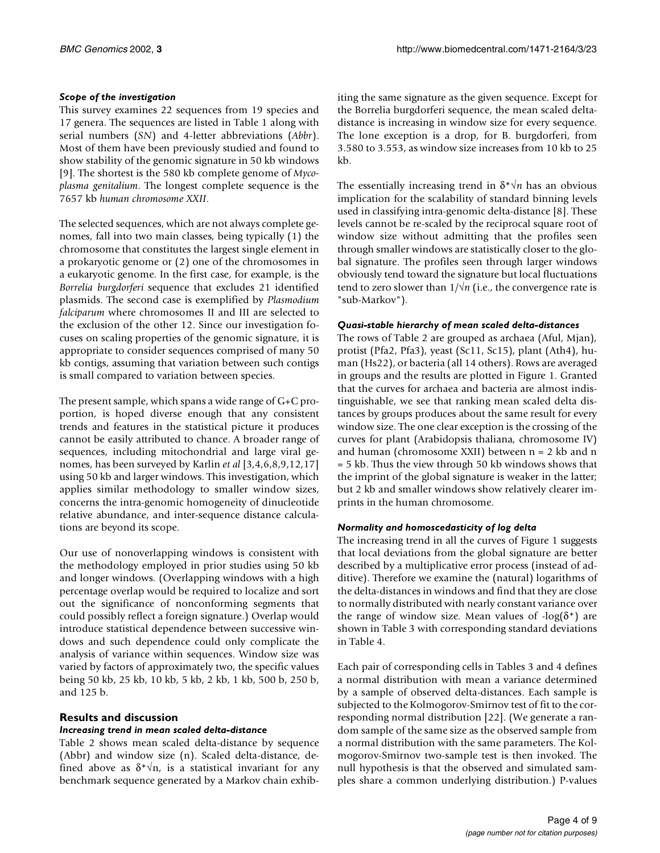# *Scope of the investigation*

This survey examines 22 sequences from 19 species and 17 genera. The sequences are listed in Table [1](#page-2-0) along with serial numbers (*SN*) and 4-letter abbreviations (*Abbr*). Most of them have been previously studied and found to show stability of the genomic signature in 50 kb windows [9]. The shortest is the 580 kb complete genome of *Mycoplasma genitalium*. The longest complete sequence is the 7657 kb *human chromosome XXII*.

The selected sequences, which are not always complete genomes, fall into two main classes, being typically (1) the chromosome that constitutes the largest single element in a prokaryotic genome or (2) one of the chromosomes in a eukaryotic genome. In the first case, for example, is the *Borrelia burgdorferi* sequence that excludes 21 identified plasmids. The second case is exemplified by *Plasmodium falciparum* where chromosomes II and III are selected to the exclusion of the other 12. Since our investigation focuses on scaling properties of the genomic signature, it is appropriate to consider sequences comprised of many 50 kb contigs, assuming that variation between such contigs is small compared to variation between species.

The present sample, which spans a wide range of G+C proportion, is hoped diverse enough that any consistent trends and features in the statistical picture it produces cannot be easily attributed to chance. A broader range of sequences, including mitochondrial and large viral genomes, has been surveyed by Karlin *et al* [3,4,6,8,9,12,17] using 50 kb and larger windows. This investigation, which applies similar methodology to smaller window sizes, concerns the intra-genomic homogeneity of dinucleotide relative abundance, and inter-sequence distance calculations are beyond its scope.

Our use of nonoverlapping windows is consistent with the methodology employed in prior studies using 50 kb and longer windows. (Overlapping windows with a high percentage overlap would be required to localize and sort out the significance of nonconforming segments that could possibly reflect a foreign signature.) Overlap would introduce statistical dependence between successive windows and such dependence could only complicate the analysis of variance within sequences. Window size was varied by factors of approximately two, the specific values being 50 kb, 25 kb, 10 kb, 5 kb, 2 kb, 1 kb, 500 b, 250 b, and 125 b.

# **Results and discussion**

# *Increasing trend in mean scaled delta-distance*

Table [2](#page-3-0) shows mean scaled delta-distance by sequence (Abbr) and window size (n). Scaled delta-distance, defined above as  $\delta^* \sqrt{n}$ , is a statistical invariant for any benchmark sequence generated by a Markov chain exhib-

iting the same signature as the given sequence. Except for the Borrelia burgdorferi sequence, the mean scaled deltadistance is increasing in window size for every sequence. The lone exception is a drop, for B. burgdorferi, from 3.580 to 3.553, as window size increases from 10 kb to 25 kb.

The essentially increasing trend in  $\delta^* \sqrt{n}$  has an obvious implication for the scalability of standard binning levels used in classifying intra-genomic delta-distance [8]. These levels cannot be re-scaled by the reciprocal square root of window size without admitting that the profiles seen through smaller windows are statistically closer to the global signature. The profiles seen through larger windows obviously tend toward the signature but local fluctuations tend to zero slower than 1/√*n* (i.e., the convergence rate is "sub-Markov").

# *Quasi-stable hierarchy of mean scaled delta-distances*

<span id="page-3-0"></span>The rows of Table [2](#page-3-0) are grouped as archaea (Aful, Mjan), protist (Pfa2, Pfa3), yeast (Sc11, Sc15), plant (Ath4), human (Hs22), or bacteria (all 14 others). Rows are averaged in groups and the results are plotted in Figure 1. Granted that the curves for archaea and bacteria are almost indistinguishable, we see that ranking mean scaled delta distances by groups produces about the same result for every window size. The one clear exception is the crossing of the curves for plant (Arabidopsis thaliana, chromosome IV) and human (chromosome XXII) between n = 2 kb and n = 5 kb. Thus the view through 50 kb windows shows that the imprint of the global signature is weaker in the latter; but 2 kb and smaller windows show relatively clearer imprints in the human chromosome.

# *Normality and homoscedasticity of log delta*

The increasing trend in all the curves of Figure 1 suggests that local deviations from the global signature are better described by a multiplicative error process (instead of additive). Therefore we examine the (natural) logarithms of the delta-distances in windows and find that they are close to normally distributed with nearly constant variance over the range of window size. Mean values of  $-log(\delta^*)$  are shown in Table [3](#page-3-0) with corresponding standard deviations in Table [4](#page-3-0).

Each pair of corresponding cells in Tables [3](#page-3-0) and [4](#page-3-0) defines a normal distribution with mean a variance determined by a sample of observed delta-distances. Each sample is subjected to the Kolmogorov-Smirnov test of fit to the corresponding normal distribution [22]. (We generate a random sample of the same size as the observed sample from a normal distribution with the same parameters. The Kolmogorov-Smirnov two-sample test is then invoked. The null hypothesis is that the observed and simulated samples share a common underlying distribution.) P-values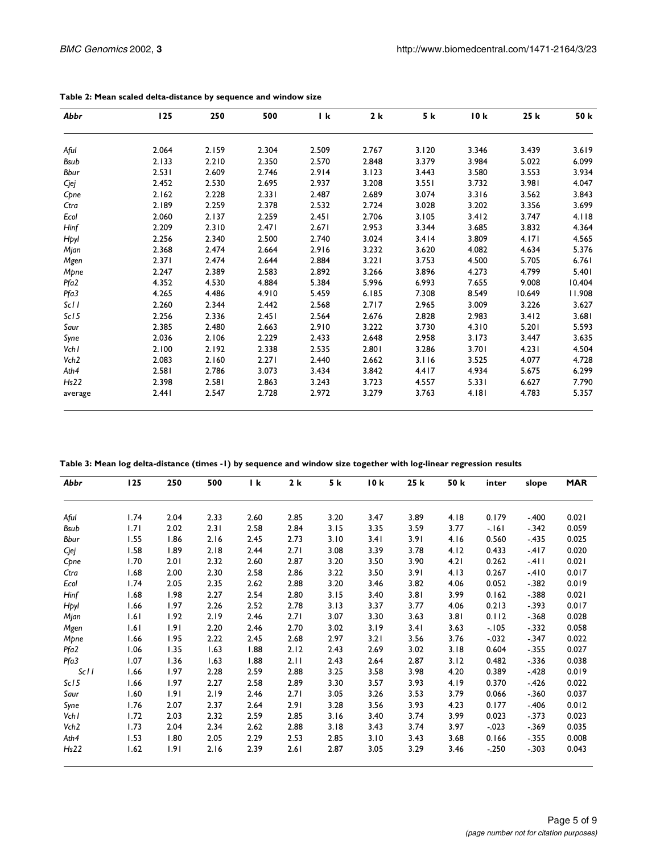| Abbr             | 125   | 250   | 500   | l k   | 2k    | 5 k   | 10k   | 25 k   | 50 k   |
|------------------|-------|-------|-------|-------|-------|-------|-------|--------|--------|
| Aful             | 2.064 | 2.159 | 2.304 | 2.509 | 2.767 | 3.120 | 3.346 | 3.439  | 3.619  |
| <b>Bsub</b>      | 2.133 | 2.210 | 2.350 | 2.570 | 2.848 | 3.379 | 3.984 | 5.022  | 6.099  |
| Bbur             | 2.531 | 2.609 | 2.746 | 2.914 | 3.123 | 3.443 | 3.580 | 3.553  | 3.934  |
|                  |       |       |       |       |       |       |       |        |        |
| Cjej             | 2.452 | 2.530 | 2.695 | 2.937 | 3.208 | 3.551 | 3.732 | 3.981  | 4.047  |
| Cpne             | 2.162 | 2.228 | 2.331 | 2.487 | 2.689 | 3.074 | 3.316 | 3.562  | 3.843  |
| Ctra             | 2.189 | 2.259 | 2.378 | 2.532 | 2.724 | 3.028 | 3.202 | 3.356  | 3.699  |
| Ecol             | 2.060 | 2.137 | 2.259 | 2.451 | 2.706 | 3.105 | 3.412 | 3.747  | 4.118  |
| Hinf             | 2.209 | 2.310 | 2.471 | 2.671 | 2.953 | 3.344 | 3.685 | 3.832  | 4.364  |
| Hpyl             | 2.256 | 2.340 | 2.500 | 2.740 | 3.024 | 3.414 | 3.809 | 4.171  | 4.565  |
| Mjan             | 2.368 | 2.474 | 2.664 | 2.916 | 3.232 | 3.620 | 4.082 | 4.634  | 5.376  |
| Mgen             | 2.371 | 2.474 | 2.644 | 2.884 | 3.221 | 3.753 | 4.500 | 5.705  | 6.761  |
| Mpne             | 2.247 | 2.389 | 2.583 | 2.892 | 3.266 | 3.896 | 4.273 | 4.799  | 5.401  |
| Pfa2             | 4.352 | 4.530 | 4.884 | 5.384 | 5.996 | 6.993 | 7.655 | 9.008  | 10.404 |
| Pfa3             | 4.265 | 4.486 | 4.910 | 5.459 | 6.185 | 7.308 | 8.549 | 10.649 | 11.908 |
| Sc11             | 2.260 | 2.344 | 2.442 | 2.568 | 2.717 | 2.965 | 3.009 | 3.226  | 3.627  |
| ScI <sub>5</sub> | 2.256 | 2.336 | 2.451 | 2.564 | 2.676 | 2.828 | 2.983 | 3.412  | 3.681  |
| Saur             | 2.385 | 2.480 | 2.663 | 2.910 | 3.222 | 3.730 | 4.310 | 5.201  | 5.593  |
| Syne             | 2.036 | 2.106 | 2.229 | 2.433 | 2.648 | 2.958 | 3.173 | 3.447  | 3.635  |
| Vchl             | 2.100 | 2.192 | 2.338 | 2.535 | 2.801 | 3.286 | 3.701 | 4.231  | 4.504  |
| Vch <sub>2</sub> | 2.083 | 2.160 | 2.271 | 2.440 | 2.662 | 3.116 | 3.525 | 4.077  | 4.728  |
| Ath4             | 2.581 | 2.786 | 3.073 | 3.434 | 3.842 | 4.417 | 4.934 | 5.675  | 6.299  |
| Hs22             | 2.398 | 2.581 | 2.863 | 3.243 | 3.723 | 4.557 | 5.331 | 6.627  | 7.790  |
| average          | 2.441 | 2.547 | 2.728 | 2.972 | 3.279 | 3.763 | 4.181 | 4.783  | 5.357  |

**Table 2: Mean scaled delta-distance by sequence and window size**

**Table 3: Mean log delta-distance (times -1) by sequence and window size together with log-linear regression results**

| Abbr             | <b>125</b> | 250  | 500  | l k  | 2k   | 5 k  | 10k  | 25 k | 50 k | inter    | slope   | <b>MAR</b> |
|------------------|------------|------|------|------|------|------|------|------|------|----------|---------|------------|
| Aful             | 1.74       | 2.04 | 2.33 | 2.60 | 2.85 | 3.20 | 3.47 | 3.89 | 4.18 | 0.179    | $-.400$ | 0.021      |
| Bsub             | 1.71       | 2.02 | 2.31 | 2.58 | 2.84 | 3.15 | 3.35 | 3.59 | 3.77 | $-161$   | $-.342$ | 0.059      |
| Bbur             | 1.55       | 1.86 | 2.16 | 2.45 | 2.73 | 3.10 | 3.41 | 3.91 | 4.16 | 0.560    | $-.435$ | 0.025      |
| Cjej             | 1.58       | 1.89 | 2.18 | 2.44 | 2.71 | 3.08 | 3.39 | 3.78 | 4.12 | 0.433    | $-417$  | 0.020      |
| Cpne             | 1.70       | 2.01 | 2.32 | 2.60 | 2.87 | 3.20 | 3.50 | 3.90 | 4.21 | 0.262    | $-411$  | 0.021      |
| Ctra             | 1.68       | 2.00 | 2.30 | 2.58 | 2.86 | 3.22 | 3.50 | 3.91 | 4.13 | 0.267    | $-410$  | 0.017      |
| Ecol             | 1.74       | 2.05 | 2.35 | 2.62 | 2.88 | 3.20 | 3.46 | 3.82 | 4.06 | 0.052    | $-.382$ | 0.019      |
| Hinf             | 1.68       | 1.98 | 2.27 | 2.54 | 2.80 | 3.15 | 3.40 | 3.81 | 3.99 | 0.162    | $-.388$ | 0.021      |
| Hpyl             | 1.66       | 1.97 | 2.26 | 2.52 | 2.78 | 3.13 | 3.37 | 3.77 | 4.06 | 0.213    | $-.393$ | 0.017      |
| Mjan             | 1.61       | 1.92 | 2.19 | 2.46 | 2.71 | 3.07 | 3.30 | 3.63 | 3.81 | 0.112    | $-.368$ | 0.028      |
| Mgen             | 1.61       | 1.91 | 2.20 | 2.46 | 2.70 | 3.02 | 3.19 | 3.41 | 3.63 | $-105$   | $-332$  | 0.058      |
| Mpne             | 1.66       | 1.95 | 2.22 | 2.45 | 2.68 | 2.97 | 3.21 | 3.56 | 3.76 | $-0.32$  | $-.347$ | 0.022      |
| Pfa2             | 1.06       | 1.35 | 1.63 | 1.88 | 2.12 | 2.43 | 2.69 | 3.02 | 3.18 | 0.604    | $-.355$ | 0.027      |
| Pfa3             | 1.07       | 1.36 | 1.63 | 1.88 | 2.11 | 2.43 | 2.64 | 2.87 | 3.12 | 0.482    | $-.336$ | 0.038      |
| Sc11             | 1.66       | 1.97 | 2.28 | 2.59 | 2.88 | 3.25 | 3.58 | 3.98 | 4.20 | 0.389    | $-428$  | 0.019      |
| Sc15             | 1.66       | 1.97 | 2.27 | 2.58 | 2.89 | 3.30 | 3.57 | 3.93 | 4.19 | 0.370    | $-426$  | 0.022      |
| Saur             | 1.60       | 1.91 | 2.19 | 2.46 | 2.71 | 3.05 | 3.26 | 3.53 | 3.79 | 0.066    | $-.360$ | 0.037      |
| Syne             | 1.76       | 2.07 | 2.37 | 2.64 | 2.91 | 3.28 | 3.56 | 3.93 | 4.23 | 0.177    | -.406   | 0.012      |
| Vch I            | 1.72       | 2.03 | 2.32 | 2.59 | 2.85 | 3.16 | 3.40 | 3.74 | 3.99 | 0.023    | $-.373$ | 0.023      |
| Vch <sub>2</sub> | 1.73       | 2.04 | 2.34 | 2.62 | 2.88 | 3.18 | 3.43 | 3.74 | 3.97 | $-0.023$ | $-.369$ | 0.035      |
| Ath4             | 1.53       | 1.80 | 2.05 | 2.29 | 2.53 | 2.85 | 3.10 | 3.43 | 3.68 | 0.166    | $-.355$ | 0.008      |
| Hs22             | 1.62       | 1.91 | 2.16 | 2.39 | 2.61 | 2.87 | 3.05 | 3.29 | 3.46 | $-250$   | $-.303$ | 0.043      |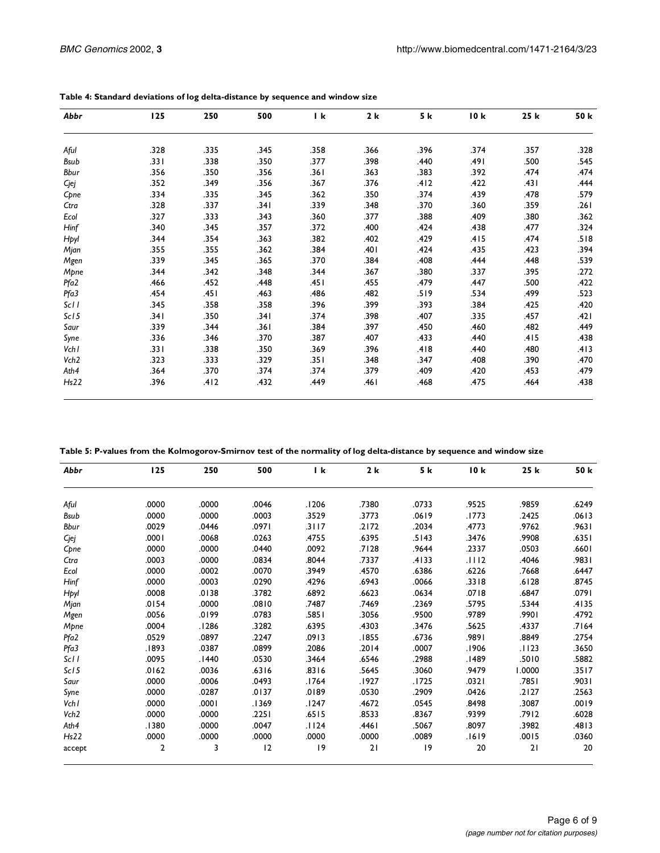| Abbr             | 125  | 250  | 500  | l k   | 2 k  | 5 k  | 10k  | 25 k | 50 k |
|------------------|------|------|------|-------|------|------|------|------|------|
| Aful             | .328 | .335 | .345 | .358  | .366 | .396 | .374 | .357 | .328 |
| Bsub             | .331 | .338 | .350 | .377  | .398 | .440 | .491 | .500 | .545 |
| Bbur             | .356 | .350 | .356 | .361  | .363 | .383 | .392 | .474 | .474 |
| Cjej             | .352 | .349 | .356 | .367  | .376 | .412 | .422 | .431 | .444 |
| Cpne             | .334 | .335 | .345 | .362  | .350 | .374 | .439 | .478 | .579 |
| Ctra             | .328 | .337 | .341 | .339  | .348 | .370 | .360 | .359 | .261 |
| Ecol             | .327 | .333 | .343 | .360  | .377 | .388 | .409 | .380 | .362 |
| Hinf             | .340 | .345 | .357 | .372  | .400 | .424 | .438 | .477 | .324 |
| Hpyl             | .344 | .354 | .363 | .382  | .402 | .429 | .415 | .474 | .518 |
| Mjan             | .355 | .355 | .362 | .384  | .401 | .424 | .435 | .423 | .394 |
| Mgen             | .339 | .345 | .365 | .370  | .384 | .408 | .444 | .448 | .539 |
| Mpne             | .344 | .342 | .348 | .344  | .367 | .380 | .337 | .395 | .272 |
| Pfa2             | .466 | .452 | .448 | .45 I | .455 | .479 | .447 | .500 | .422 |
| Pfa3             | .454 | .451 | .463 | .486  | .482 | .519 | .534 | .499 | .523 |
| ScII             | .345 | .358 | .358 | .396  | .399 | .393 | .384 | .425 | .420 |
| ScI <sub>5</sub> | .341 | .350 | .341 | .374  | .398 | .407 | .335 | .457 | .421 |
| Saur             | .339 | .344 | .361 | .384  | .397 | .450 | .460 | .482 | .449 |
| Syne             | .336 | .346 | .370 | .387  | .407 | .433 | .440 | .415 | .438 |
| Vch I            | .331 | .338 | .350 | .369  | .396 | .418 | .440 | .480 | .413 |
| Vch <sub>2</sub> | .323 | .333 | .329 | .351  | .348 | .347 | .408 | .390 | .470 |
| Ath4             | .364 | .370 | .374 | .374  | .379 | .409 | .420 | .453 | .479 |
| Hs22             | .396 | .412 | .432 | .449  | .461 | .468 | .475 | .464 | .438 |

**Table 4: Standard deviations of log delta-distance by sequence and window size**

**Table 5: P-values from the Kolmogorov-Smirnov test of the normality of log delta-distance by sequence and window size**

| Abbr             | 125            | 250   | 500   | I k   | 2k    | 5 k   | 10k   | 25 k   | 50 k  |
|------------------|----------------|-------|-------|-------|-------|-------|-------|--------|-------|
| Aful             | .0000          | .0000 | .0046 | .1206 | .7380 | .0733 | .9525 | .9859  | .6249 |
| <b>Bsub</b>      | .0000          | .0000 | .0003 | .3529 | .3773 | .0619 | .1773 | .2425  | .0613 |
| Bbur             | .0029          | .0446 | .0971 | .3117 | .2172 | .2034 | .4773 | .9762  | .9631 |
| Cjej             | .0001          | .0068 | .0263 | .4755 | .6395 | .5143 | .3476 | .9908  | .6351 |
| Cpne             | .0000          | .0000 | .0440 | .0092 | .7128 | .9644 | .2337 | .0503  | .6601 |
| Ctra             | .0003          | .0000 | .0834 | .8044 | .7337 | .4133 | .1112 | .4046  | .9831 |
| Ecol             | .0000          | .0002 | .0070 | .3949 | .4570 | .6386 | .6226 | .7668  | .6447 |
| Hinf             | .0000          | .0003 | .0290 | .4296 | .6943 | .0066 | .3318 | .6128  | .8745 |
| Hpyl             | .0008          | .0138 | .3782 | .6892 | .6623 | .0634 | .0718 | .6847  | .0791 |
| Mjan             | .0154          | .0000 | .0810 | .7487 | .7469 | .2369 | .5795 | .5344  | .4135 |
| Mgen             | .0056          | .0199 | .0783 | .5851 | .3056 | .9500 | .9789 | .9901  | .4792 |
| Mpne             | .0004          | .1286 | .3282 | .6395 | .4303 | .3476 | .5625 | .4337  | .7164 |
| Pfa2             | .0529          | .0897 | .2247 | .0913 | .1855 | .6736 | .9891 | .8849  | .2754 |
| Pfa3             | .1893          | .0387 | .0899 | .2086 | .2014 | .0007 | .1906 | .1123  | .3650 |
| Sc11             | .0095          | .1440 | .0530 | .3464 | .6546 | .2988 | .1489 | .5010  | .5882 |
| Sc15             | .0162          | .0036 | .6316 | .8316 | .5645 | .3060 | .9479 | 1.0000 | .3517 |
| Saur             | .0000          | .0006 | .0493 | .1764 | .1927 | .1725 | .0321 | .7851  | .9031 |
| Syne             | .0000          | .0287 | .0137 | .0189 | .0530 | .2909 | .0426 | .2127  | .2563 |
| Vch I            | .0000          | .0001 | .1369 | .1247 | .4672 | .0545 | .8498 | .3087  | .0019 |
| Vch <sub>2</sub> | .0000          | .0000 | .2251 | .6515 | .8533 | .8367 | .9399 | .7912  | .6028 |
| Ath4             | .1380          | .0000 | .0047 | .1124 | .4461 | .5067 | .8097 | .3982  | .4813 |
| Hs22             | .0000          | .0000 | .0000 | .0000 | .0000 | .0089 | .1619 | .0015  | .0360 |
| accept           | $\overline{2}$ | 3     | 12    | 19    | 21    | 9     | 20    | 21     | 20    |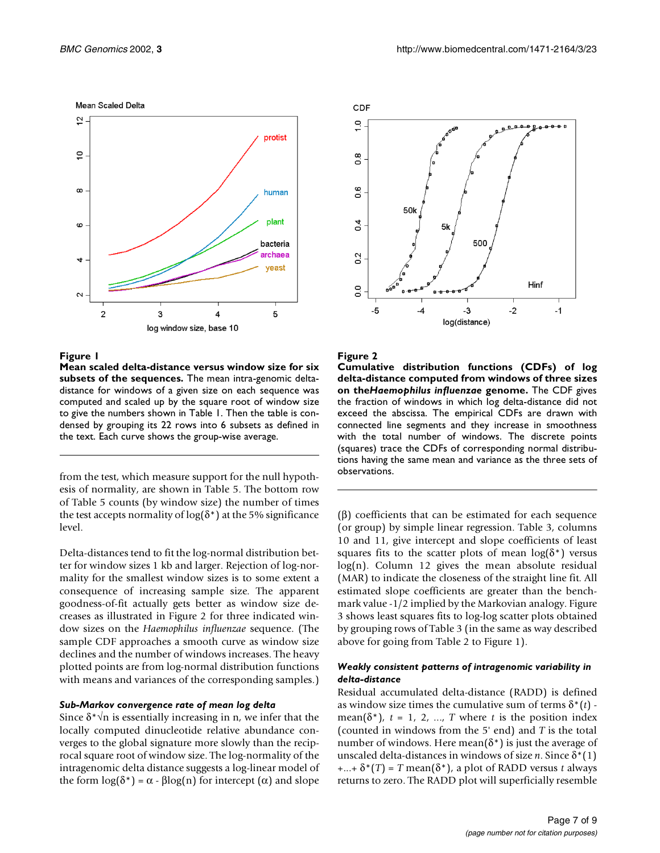#### Mean Scaled Delta



#### **Figure 1**

**Mean scaled delta-distance versus window size for six subsets of the sequences.** The mean intra-genomic deltadistance for windows of a given size on each sequence was computed and scaled up by the square root of window size to give the numbers shown in Table [1.](#page-2-0) Then the table is condensed by grouping its 22 rows into 6 subsets as defined in the text. Each curve shows the group-wise average.

from the test, which measure support for the null hypothesis of normality, are shown in Table [5](#page-3-0). The bottom row of Table [5](#page-3-0) counts (by window size) the number of times the test accepts normality of  $log(\delta^*)$  at the 5% significance level.

Delta-distances tend to fit the log-normal distribution better for window sizes 1 kb and larger. Rejection of log-normality for the smallest window sizes is to some extent a consequence of increasing sample size. The apparent goodness-of-fit actually gets better as window size decreases as illustrated in Figure 2 for three indicated window sizes on the *Haemophilus influenzae* sequence. (The sample CDF approaches a smooth curve as window size declines and the number of windows increases. The heavy plotted points are from log-normal distribution functions with means and variances of the corresponding samples.)

#### *Sub-Markov convergence rate of mean log delta*

Since  $\delta^* \vee n$  is essentially increasing in n, we infer that the locally computed dinucleotide relative abundance converges to the global signature more slowly than the reciprocal square root of window size. The log-normality of the intragenomic delta distance suggests a log-linear model of the form  $log(\delta^*) = \alpha - \beta log(n)$  for intercept (α) and slope



#### **Figure 2**

**Cumulative distribution functions (CDFs) of log delta-distance computed from windows of three sizes on the***Haemophilus influenzae* **genome.** The CDF gives the fraction of windows in which log delta-distance did not exceed the abscissa. The empirical CDFs are drawn with connected line segments and they increase in smoothness with the total number of windows. The discrete points (squares) trace the CDFs of corresponding normal distributions having the same mean and variance as the three sets of observations.

(β) coefficients that can be estimated for each sequence (or group) by simple linear regression. Table [3](#page-3-0), columns 10 and 11, give intercept and slope coefficients of least squares fits to the scatter plots of mean  $log(\delta^*)$  versus log(n). Column 12 gives the mean absolute residual (MAR) to indicate the closeness of the straight line fit. All estimated slope coefficients are greater than the benchmark value -1/2 implied by the Markovian analogy. Figure 3 shows least squares fits to log-log scatter plots obtained by grouping rows of Table [3](#page-3-0) (in the same as way described above for going from Table [2](#page-3-0) to Figure 1).

#### *Weakly consistent patterns of intragenomic variability in delta-distance*

Residual accumulated delta-distance (RADD) is defined as window size times the cumulative sum of terms  $\delta^*(t)$  mean( $\delta^*$ ),  $t = 1, 2, ..., T$  where  $t$  is the position index (counted in windows from the 5' end) and *T* is the total number of windows. Here mean( $\delta^*$ ) is just the average of unscaled delta-distances in windows of size *n*. Since δ\*(1)  $+...+\delta^{*}(T) = T$  mean( $\delta^{*}$ ), a plot of RADD versus *t* always returns to zero. The RADD plot will superficially resemble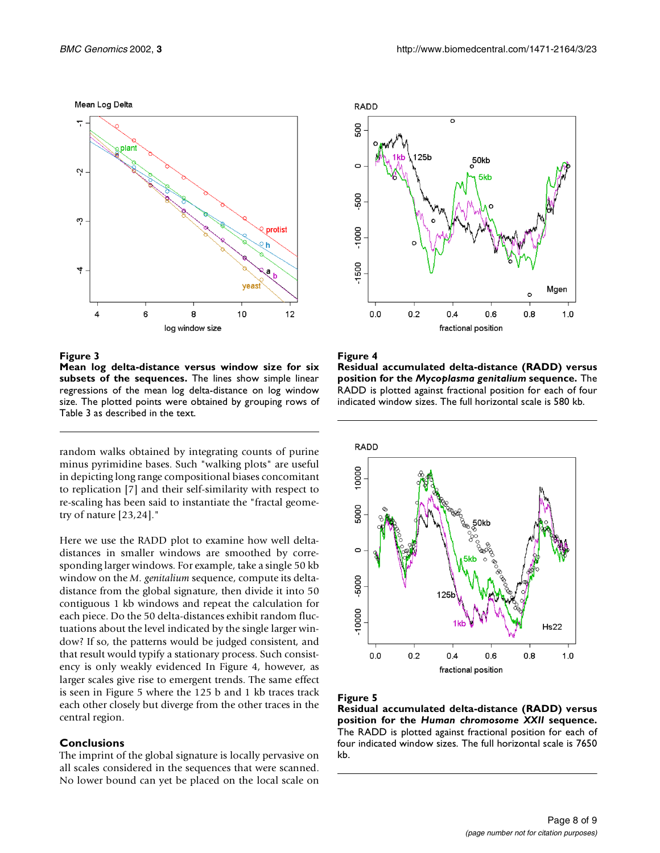#### Mean Log Delta



#### **Figure 3**

**Mean log delta-distance versus window size for six subsets of the sequences.** The lines show simple linear regressions of the mean log delta-distance on log window size. The plotted points were obtained by grouping rows of Table [3](#page-3-0) as described in the text.

random walks obtained by integrating counts of purine minus pyrimidine bases. Such "walking plots" are useful in depicting long range compositional biases concomitant to replication [7] and their self-similarity with respect to re-scaling has been said to instantiate the "fractal geometry of nature [23,24]."

Here we use the RADD plot to examine how well deltadistances in smaller windows are smoothed by corresponding larger windows. For example, take a single 50 kb window on the *M. genitalium* sequence, compute its deltadistance from the global signature, then divide it into 50 contiguous 1 kb windows and repeat the calculation for each piece. Do the 50 delta-distances exhibit random fluctuations about the level indicated by the single larger window? If so, the patterns would be judged consistent, and that result would typify a stationary process. Such consistency is only weakly evidenced In Figure 4, however, as larger scales give rise to emergent trends. The same effect is seen in Figure 5 where the 125 b and 1 kb traces track each other closely but diverge from the other traces in the central region.

#### **Conclusions**

The imprint of the global signature is locally pervasive on all scales considered in the sequences that were scanned. No lower bound can yet be placed on the local scale on



#### **Figure 4**

**Residual accumulated delta-distance (RADD) versus position for the** *Mycoplasma genitalium* **sequence.** The RADD is plotted against fractional position for each of four indicated window sizes. The full horizontal scale is 580 kb.



#### **Figure 5**

**Residual accumulated delta-distance (RADD) versus position for the** *Human chromosome XXII* **sequence.** The RADD is plotted against fractional position for each of four indicated window sizes. The full horizontal scale is 7650 kb.